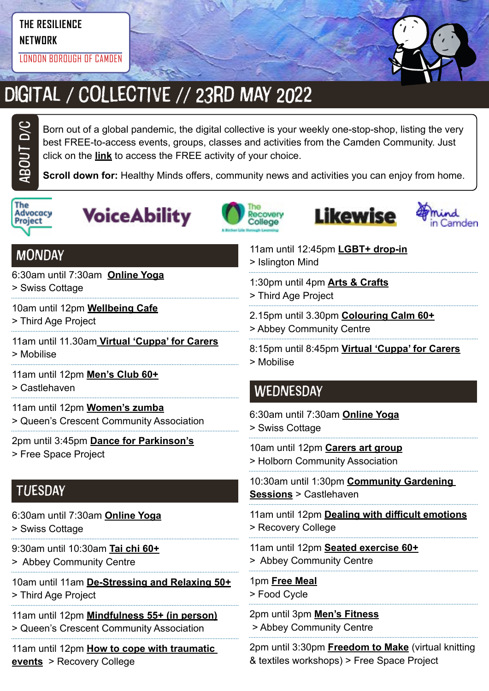# **THE RESILIENCE**

**NETWORK**

LONDON BOROUGH OF CAMDEN



# Digital / Collective // 23rd May 2022

Born out of a global pandemic, the digital collective is your weekly one-stop-shop, listing the very best FREE-to-access events, groups, classes and activities from the Camden Community. Just click on the **link** to access the FREE activity of your choice.

**Scroll down for:** Healthy Minds offers, community news and activities you can enjoy from home.



ABOUt D/C









# **MONDAY**

6:30am until 7:30am **[Online Yoga](https://yourswiss.org/)**

> Swiss Cottage

- 10am until 12pm **[Wellbeing Cafe](https://thirdageproject.org.uk/calendar/)**
- > Third Age Project
- 11am until 11.30am **[Virtual 'Cuppa' for Carers](https://www.mobiliseonline.co.uk/cuppa)** > Mobilise
- 11am until 12pm **[Men's Club 60+](https://www.castlehaven.org.uk/whats-on/event/2539/)**
- > Castlehaven
- 11am until 12pm **[Women's zumba](https://twitter.com/QCCA_ltd/status/1441030606608027653/photo/1)**
- > Queen's Crescent Community Association
- 2pm until 3:45pm **[Dance for Parkinson's](https://www.freespaceproject.org/blog/dance-for-parkinsons)**
- > Free Space Project

# **TUESDAY**

- 6:30am until 7:30am **[Online Yoga](https://yourswiss.org/)**
- > Swiss Cottage
- 9:30am until 10:30am **[Tai chi 60+](https://abbeycc-kilburn.org.uk/wp-content/uploads/2020/03/January-2022-programme.pdf)**
- > Abbey Community Centre
- 10am until 11am **[De-Stressing and Relaxing 50+](https://mcusercontent.com/ea2facf10e2b0030d86ac8775/images/7b7e1a43-b1d4-46e2-9a1c-220235255224.jpg?fbclid=IwAR3OeQ_6KX5rCiRFaTvQ2osfj66ekG8CeO0OVWDTfpWugvLoPIhuUhJObyU)**
- > Third Age Project
- 11am until 12pm **[Mindfulness 55+ \(in person\)](https://twitter.com/QCCA_ltd/status/1514271932044255238)**
- > Queen's Crescent Community Association
- 11am until 12pm **[How to cope with traumatic](https://www.candi.nhs.uk/our-services/education-and-employment/recovery-college)  [events](https://www.candi.nhs.uk/our-services/education-and-employment/recovery-college)** > Recovery College
- 11am until 12:45pm **[LGBT+ drop-in](https://www.islingtonmind.org.uk/our-services/mhrp/virtual-support-services/)** > Islington Mind
- 1:30pm until 4pm **[Arts & Crafts](https://twitter.com/ThirdAgeProject/status/1483392643849756675/photo/2)**
- > Third Age Project
- 2.15pm until 3.30pm **[Colouring Calm 60+](https://abbeycc-kilburn.org.uk/wp-content/uploads/2020/03/January-2022-programme.pdf)**
- > Abbey Community Centre
- 8:15pm until 8:45pm **[Virtual 'Cuppa' for Carers](https://www.mobiliseonline.co.uk/cuppa)**
- > Mobilise

# **WEDNESDAY**

6:30am until 7:30am **[Online Yoga](https://yourswiss.org/)** > Swiss Cottage

10am until 12pm **[Carers art group](https://www.holborncommunity.co.uk/events/carers-art-group-2021-04-07/)** > Holborn Community Association

10:30am until 1:30pm **[Community Gardening](https://www.castlehaven.org.uk/whats-on/event/1459/)  [Sessions](https://www.castlehaven.org.uk/whats-on/event/1459/)** > Castlehaven

- 11am until 12pm **[Dealing with difficult emotions](https://www.candi.nhs.uk/our-services/education-and-employment/recovery-college)** > Recovery College
- 11am until 12pm **[Seated exercise 60+](https://abbeycc-kilburn.org.uk/wp-content/uploads/2020/03/January-2022-programme.pdf)** > Abbey Community Centre
- 1pm **[Free Meal](https://www.foodcycle.org.uk/location/london-islington/)** > Food Cycle

2pm until 3pm **[Men's Fitness](mailto:https://abbeycc-kilburn.org.uk/wp-content/uploads/2020/03/January-2022-programme.pdf?subject=Men%27s%20fitness)** > Abbey Community Centre

2pm until 3:30pm **[Freedom to Make](https://www.freespaceproject.org/projects/freedomtomake)** (virtual knitting & textiles workshops) > Free Space Project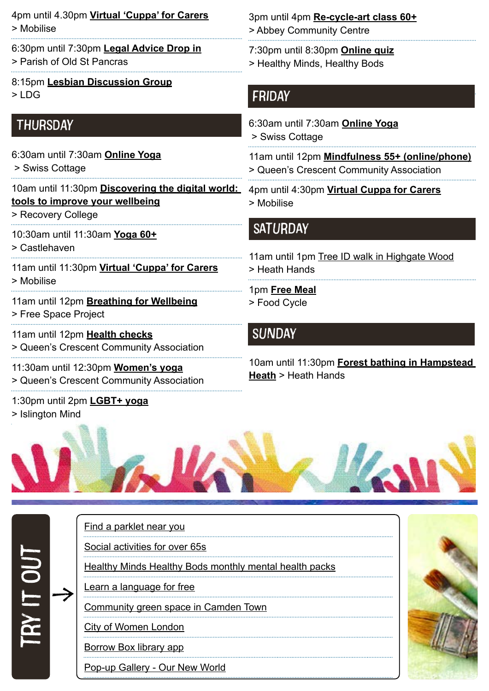4pm until 4.30pm **[Virtual 'Cuppa' for Carers](https://www.mobiliseonline.co.uk/cuppa)** > Mobilise

- 6:30pm until 7:30pm **[Legal Advice Drop in](https://posp.co.uk/social-justice/legal-drop-in/)** > Parish of Old St Pancras
- 8:15pm **[Lesbian Discussion Group](https://www.lesbiandiscussiongroup.com/)**  $>1$  DG

### **THURSDAY**

6:30am until 7:30am **[Online Yoga](https://yourswiss.org/)** > Swiss Cottage

10am until 11:30pm **[Discovering the digital world:](https://www.candi.nhs.uk/our-services/education-and-employment/recovery-college)  [tools to improve your wellbeing](https://www.candi.nhs.uk/our-services/education-and-employment/recovery-college)**

> Recovery College

10:30am until 11:30am **[Yoga 60+](https://www.castlehaven.org.uk/whats-on/event/2561/)** > Castlehaven

11am until 11:30pm **[Virtual 'Cuppa' for Carers](https://www.mobiliseonline.co.uk/cuppa)** > Mobilise

11am until 12pm **[Breathing for Wellbeing](https://www.freespaceproject.org/blog/guidedmeditation-57c8e)** > Free Space Project

11am until 12pm **[Health checks](https://twitter.com/QCCA_ltd/status/1441030606608027653/photo/1)** > Queen's Crescent Community Association

11:30am until 12:30pm **[Women's yoga](https://twitter.com/QCCA_ltd/status/1441030606608027653/photo/1)** > Queen's Crescent Community Association

1:30pm until 2pm **[LGBT+ yoga](https://www.islingtonmind.org.uk/our-services/outcome/)** > Islington Mind

 $\rightarrow$ 

try it out

3pm until 4pm **[Re-cycle-art class](https://abbeycc-kilburn.org.uk/wp-content/uploads/2020/03/January-2022-programme.pdf) 60+** > Abbey Community Centre

7:30pm until 8:30pm **[Online quiz](https://www.mentalhealthcamden.co.uk/events/22/02/healthy-minds-healthy-bods-online-quiz)**

> Healthy Minds, Healthy Bods

#### FRIDAY

6:30am until 7:30am **[Online Yoga](https://yourswiss.org/)**

> Swiss Cottage

11am until 12pm **[Mindfulness 55+ \(online/phone\)](https://twitter.com/QCCA_ltd/status/1514271932044255238)** > Queen's Crescent Community Association

4pm until 4:30pm **[Virtual Cuppa for Carers](https://www.mobiliseonline.co.uk/cuppa)** > Mobilise

## **SATURDAY**

11am until 1pm [Tree ID walk in Highgate Wood](https://www.heath-hands.org.uk/whatson/guided-walk-trees-of-highgate-wood) > Heath Hands 1pm **[Free Meal](https://www.foodcycle.org.uk/location/london-finsbury-park/)**

> Food Cycle

# **SUNDAY**

10am until 11:30pm **[Forest bathing in Hampstead](https://www.heath-hands.org.uk/whatson/forestbathing29may)  [Heath](https://www.heath-hands.org.uk/whatson/forestbathing29may)** > Heath Hands



#### [Find a parklet near you](https://parkletsacrosscamden.commonplace.is/)

[Social activities for over 65s](https://northlondoncares.org.uk/social-clubs#)

[Healthy Minds Healthy Bods monthly mental health packs](https://www.hmhb2016.org.uk/copy-of-monthly-health-packs-may-21)

[Learn a language for free](https://jointoucan.com/?utm_source=twitter&utm_medium=cpc&utm_campaign=toucan-2-wt&twclid=11512072843810332675)

[Community green space in Camden Town](https://twitter.com/CCA_Camden/status/1509146355465428994)

[City of Women London](file:https://www.cityofwomenlondon.org/)

[Borrow Box library app](file:https://www.borrowbox.com/)

[Pop-up Gallery - Our New World](https://www.internationalwomensday.com/Activity/17304/Pop-up-Gallery-Our-New-World)